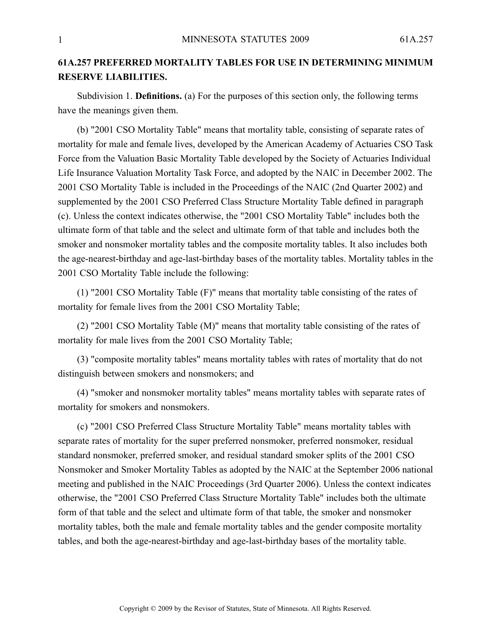## **61A.257 PREFERRED MORTALITY TABLES FOR USE IN DETERMINING MINIMUM RESERVE LIABILITIES.**

Subdivision 1. **Definitions.** (a) For the purposes of this section only, the following terms have the meanings given them.

(b) "2001 CSO Mortality Table" means that mortality table, consisting of separate rates of mortality for male and female lives, developed by the American Academy of Actuaries CSO Task Force from the Valuation Basic Mortality Table developed by the Society of Actuaries Individual Life Insurance Valuation Mortality Task Force, and adopted by the NAIC in December 2002. The 2001 CSO Mortality Table is included in the Proceedings of the NAIC (2nd Quarter 2002) and supplemented by the 2001 CSO Preferred Class Structure Mortality Table defined in paragraph (c). Unless the context indicates otherwise, the "2001 CSO Mortality Table" includes both the ultimate form of that table and the select and ultimate form of that table and includes both the smoker and nonsmoker mortality tables and the composite mortality tables. It also includes both the age-nearest-birthday and age-last-birthday bases of the mortality tables. Mortality tables in the 2001 CSO Mortality Table include the following:

(1) "2001 CSO Mortality Table (F)" means that mortality table consisting of the rates of mortality for female lives from the 2001 CSO Mortality Table;

(2) "2001 CSO Mortality Table (M)" means that mortality table consisting of the rates of mortality for male lives from the 2001 CSO Mortality Table;

(3) "composite mortality tables" means mortality tables with rates of mortality that do not distinguish between smokers and nonsmokers; and

(4) "smoker and nonsmoker mortality tables" means mortality tables with separate rates of mortality for smokers and nonsmokers.

(c) "2001 CSO Preferred Class Structure Mortality Table" means mortality tables with separate rates of mortality for the super preferred nonsmoker, preferred nonsmoker, residual standard nonsmoker, preferred smoker, and residual standard smoker splits of the 2001 CSO Nonsmoker and Smoker Mortality Tables as adopted by the NAIC at the September 2006 national meeting and published in the NAIC Proceedings (3rd Quarter 2006). Unless the context indicates otherwise, the "2001 CSO Preferred Class Structure Mortality Table" includes both the ultimate form of that table and the select and ultimate form of that table, the smoker and nonsmoker mortality tables, both the male and female mortality tables and the gender composite mortality tables, and both the age-nearest-birthday and age-last-birthday bases of the mortality table.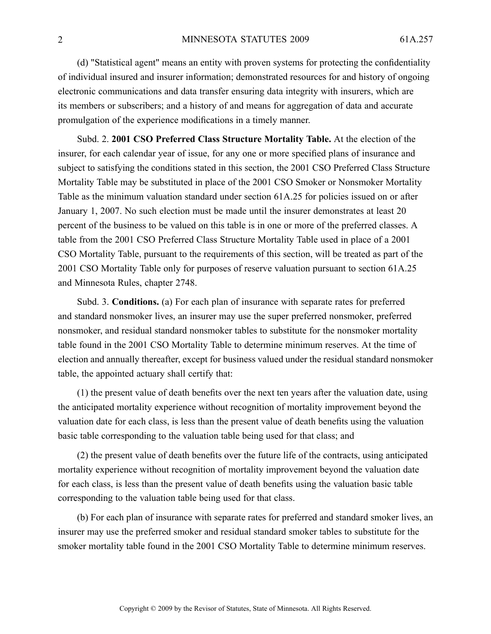(d) "Statistical agent" means an entity with proven systems for protecting the confidentiality of individual insured and insurer information; demonstrated resources for and history of ongoing electronic communications and data transfer ensuring data integrity with insurers, which are its members or subscribers; and <sup>a</sup> history of and means for aggregation of data and accurate promulgation of the experience modifications in <sup>a</sup> timely manner.

Subd. 2. **2001 CSO Preferred Class Structure Mortality Table.** At the election of the insurer, for each calendar year of issue, for any one or more specified plans of insurance and subject to satisfying the conditions stated in this section, the 2001 CSO Preferred Class Structure Mortality Table may be substituted in place of the 2001 CSO Smoker or Nonsmoker Mortality Table as the minimum valuation standard under section 61A.25 for policies issued on or after January 1, 2007. No such election must be made until the insurer demonstrates at least 20 percen<sup>t</sup> of the business to be valued on this table is in one or more of the preferred classes. A table from the 2001 CSO Preferred Class Structure Mortality Table used in place of <sup>a</sup> 2001 CSO Mortality Table, pursuan<sup>t</sup> to the requirements of this section, will be treated as par<sup>t</sup> of the 2001 CSO Mortality Table only for purposes of reserve valuation pursuan<sup>t</sup> to section 61A.25 and Minnesota Rules, chapter 2748.

Subd. 3. **Conditions.** (a) For each plan of insurance with separate rates for preferred and standard nonsmoker lives, an insurer may use the super preferred nonsmoker, preferred nonsmoker, and residual standard nonsmoker tables to substitute for the nonsmoker mortality table found in the 2001 CSO Mortality Table to determine minimum reserves. At the time of election and annually thereafter, excep<sup>t</sup> for business valued under the residual standard nonsmoker table, the appointed actuary shall certify that:

(1) the presen<sup>t</sup> value of death benefits over the next ten years after the valuation date, using the anticipated mortality experience without recognition of mortality improvement beyond the valuation date for each class, is less than the presen<sup>t</sup> value of death benefits using the valuation basic table corresponding to the valuation table being used for that class; and

(2) the presen<sup>t</sup> value of death benefits over the future life of the contracts, using anticipated mortality experience without recognition of mortality improvement beyond the valuation date for each class, is less than the presen<sup>t</sup> value of death benefits using the valuation basic table corresponding to the valuation table being used for that class.

(b) For each plan of insurance with separate rates for preferred and standard smoker lives, an insurer may use the preferred smoker and residual standard smoker tables to substitute for the smoker mortality table found in the 2001 CSO Mortality Table to determine minimum reserves.